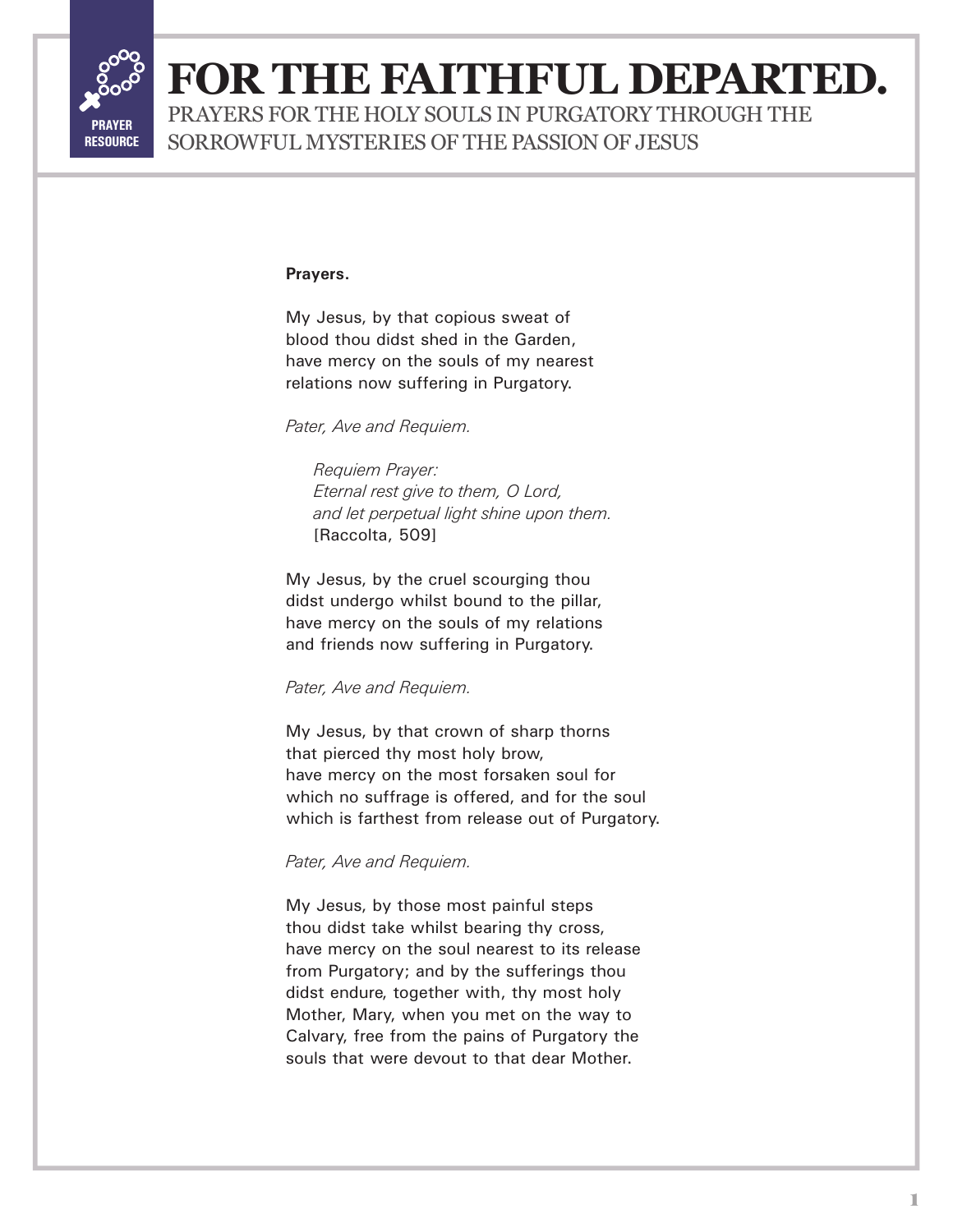

## **FOR THE FAITHFUL DEPARTED.**

PRAYERS FOR THE HOLY SOULS IN PURGATORY THROUGH THE SORROWFUL MYSTERIES OF THE PASSION OF JESUS

#### **Prayers.**

My Jesus, by that copious sweat of blood thou didst shed in the Garden, have mercy on the souls of my nearest relations now suffering in Purgatory.

*Pater, Ave and Requiem.*

*Requiem Prayer: Eternal rest give to them, O Lord, and let perpetual light shine upon them.* [Raccolta, 509]

My Jesus, by the cruel scourging thou didst undergo whilst bound to the pillar, have mercy on the souls of my relations and friends now suffering in Purgatory.

*Pater, Ave and Requiem.*

My Jesus, by that crown of sharp thorns that pierced thy most holy brow, have mercy on the most forsaken soul for which no suffrage is offered, and for the soul which is farthest from release out of Purgatory.

### *Pater, Ave and Requiem.*

My Jesus, by those most painful steps thou didst take whilst bearing thy cross, have mercy on the soul nearest to its release from Purgatory; and by the sufferings thou didst endure, together with, thy most holy Mother, Mary, when you met on the way to Calvary, free from the pains of Purgatory the souls that were devout to that dear Mother.